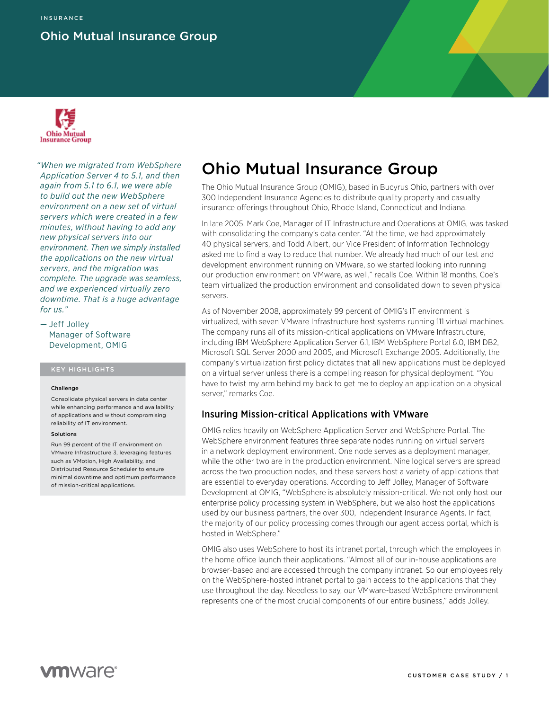## Ohio Mutual Insurance Group



*"When we migrated from WebSphere Application Server 4 to 5.1, and then again from 5.1 to 6.1, we were able to build out the new WebSphere environment on a new set of virtual servers which were created in a few minutes, without having to add any new physical servers into our environment. Then we simply installed the applications on the new virtual servers, and the migration was complete. The upgrade was seamless, and we experienced virtually zero downtime. That is a huge advantage for us."*

— Jeff Jolley Manager of Software Development, OMIG

### KEY HIGHLIGHTS

### Challenge

Consolidate physical servers in data center while enhancing performance and availability of applications and without compromising reliability of IT environment.

### Solutions

Run 99 percent of the IT environment on VMware Infrastructure 3, leveraging features such as VMotion, High Availability, and Distributed Resource Scheduler to ensure minimal downtime and optimum performance of mission-critical applications.

# Ohio Mutual Insurance Group

The Ohio Mutual Insurance Group (OMIG), based in Bucyrus Ohio, partners with over 300 Independent Insurance Agencies to distribute quality property and casualty insurance offerings throughout Ohio, Rhode Island, Connecticut and Indiana.

In late 2005, Mark Coe, Manager of IT Infrastructure and Operations at OMIG, was tasked with consolidating the company's data center. "At the time, we had approximately 40 physical servers, and Todd Albert, our Vice President of Information Technology asked me to find a way to reduce that number. We already had much of our test and development environment running on VMware, so we started looking into running our production environment on VMware, as well," recalls Coe. Within 18 months, Coe's team virtualized the production environment and consolidated down to seven physical servers.

As of November 2008, approximately 99 percent of OMIG's IT environment is virtualized, with seven VMware Infrastructure host systems running 111 virtual machines. The company runs all of its mission-critical applications on VMware Infrastructure, including IBM WebSphere Application Server 6.1, IBM WebSphere Portal 6.0, IBM DB2, Microsoft SQL Server 2000 and 2005, and Microsoft Exchange 2005. Additionally, the company's virtualization first policy dictates that all new applications must be deployed on a virtual server unless there is a compelling reason for physical deployment. "You have to twist my arm behind my back to get me to deploy an application on a physical server," remarks Coe.

### Insuring Mission-critical Applications with VMware

OMIG relies heavily on WebSphere Application Server and WebSphere Portal. The WebSphere environment features three separate nodes running on virtual servers in a network deployment environment. One node serves as a deployment manager, while the other two are in the production environment. Nine logical servers are spread across the two production nodes, and these servers host a variety of applications that are essential to everyday operations. According to Jeff Jolley, Manager of Software Development at OMIG, "WebSphere is absolutely mission-critical. We not only host our enterprise policy processing system in WebSphere, but we also host the applications used by our business partners, the over 300, Independent Insurance Agents. In fact, the majority of our policy processing comes through our agent access portal, which is hosted in WebSphere."

OMIG also uses WebSphere to host its intranet portal, through which the employees in the home office launch their applications. "Almost all of our in-house applications are browser-based and are accessed through the company intranet. So our employees rely on the WebSphere-hosted intranet portal to gain access to the applications that they use throughout the day. Needless to say, our VMware-based WebSphere environment represents one of the most crucial components of our entire business," adds Jolley.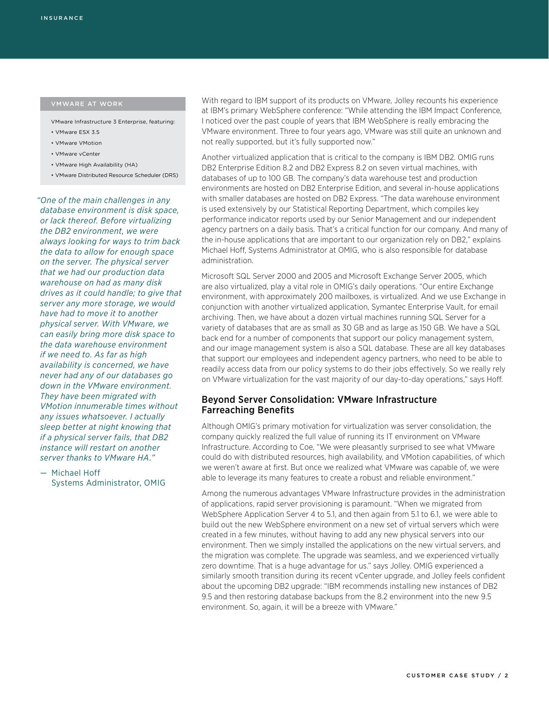- VMware Infrastructure 3 Enterprise, featuring:
- VMware ESX 3.5
- VMware VMotion
- VMware vCenter
- VMware High Availability (HA)
- VMware Distributed Resource Scheduler (DRS)

*"One of the main challenges in any database environment is disk space, or lack thereof. Before virtualizing the DB2 environment, we were always looking for ways to trim back the data to allow for enough space on the server. The physical server that we had our production data warehouse on had as many disk drives as it could handle; to give that server any more storage, we would have had to move it to another physical server. With VMware, we can easily bring more disk space to the data warehouse environment if we need to. As far as high availability is concerned, we have never had any of our databases go down in the VMware environment. They have been migrated with VMotion innumerable times without any issues whatsoever. I actually sleep better at night knowing that if a physical server fails, that DB2 instance will restart on another server thanks to VMware HA."*

— Michael Hoff Systems Administrator, OMIG With regard to IBM support of its products on VMware, Jolley recounts his experience at IBM's primary WebSphere conference: "While attending the IBM Impact Conference, I noticed over the past couple of years that IBM WebSphere is really embracing the VMware environment. Three to four years ago, VMware was still quite an unknown and not really supported, but it's fully supported now."

Another virtualized application that is critical to the company is IBM DB2. OMIG runs DB2 Enterprise Edition 8.2 and DB2 Express 8.2 on seven virtual machines, with databases of up to 100 GB. The company's data warehouse test and production environments are hosted on DB2 Enterprise Edition, and several in-house applications with smaller databases are hosted on DB2 Express. "The data warehouse environment is used extensively by our Statistical Reporting Department, which compiles key performance indicator reports used by our Senior Management and our independent agency partners on a daily basis. That's a critical function for our company. And many of the in-house applications that are important to our organization rely on DB2," explains Michael Hoff, Systems Administrator at OMIG, who is also responsible for database administration.

Microsoft SQL Server 2000 and 2005 and Microsoft Exchange Server 2005, which are also virtualized, play a vital role in OMIG's daily operations. "Our entire Exchange environment, with approximately 200 mailboxes, is virtualized. And we use Exchange in conjunction with another virtualized application, Symantec Enterprise Vault, for email archiving. Then, we have about a dozen virtual machines running SQL Server for a variety of databases that are as small as 30 GB and as large as 150 GB. We have a SQL back end for a number of components that support our policy management system, and our image management system is also a SQL database. These are all key databases that support our employees and independent agency partners, who need to be able to readily access data from our policy systems to do their jobs effectively. So we really rely on VMware virtualization for the vast majority of our day-to-day operations," says Hoff.

### Beyond Server Consolidation: VMware Infrastructure Farreaching Benefits

Although OMIG's primary motivation for virtualization was server consolidation, the company quickly realized the full value of running its IT environment on VMware Infrastructure. According to Coe, "We were pleasantly surprised to see what VMware could do with distributed resources, high availability, and VMotion capabilities, of which we weren't aware at first. But once we realized what VMware was capable of, we were able to leverage its many features to create a robust and reliable environment."

Among the numerous advantages VMware Infrastructure provides in the administration of applications, rapid server provisioning is paramount. "When we migrated from WebSphere Application Server 4 to 5.1, and then again from 5.1 to 6.1, we were able to build out the new WebSphere environment on a new set of virtual servers which were created in a few minutes, without having to add any new physical servers into our environment. Then we simply installed the applications on the new virtual servers, and the migration was complete. The upgrade was seamless, and we experienced virtually zero downtime. That is a huge advantage for us." says Jolley. OMIG experienced a similarly smooth transition during its recent vCenter upgrade, and Jolley feels confident about the upcoming DB2 upgrade: "IBM recommends installing new instances of DB2 9.5 and then restoring database backups from the 8.2 environment into the new 9.5 environment. So, again, it will be a breeze with VMware."